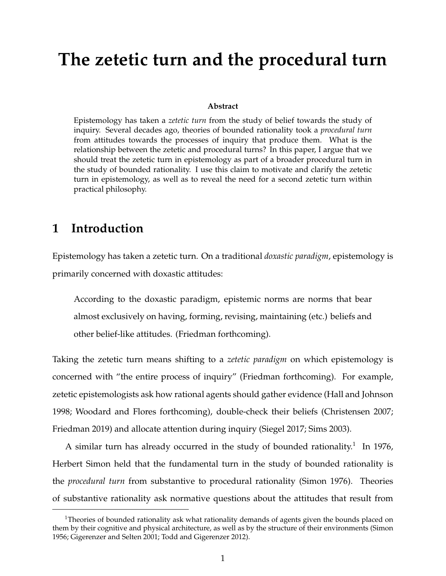# **The zetetic turn and the procedural turn**

#### **Abstract**

Epistemology has taken a *zetetic turn* from the study of belief towards the study of inquiry. Several decades ago, theories of bounded rationality took a *procedural turn* from attitudes towards the processes of inquiry that produce them. What is the relationship between the zetetic and procedural turns? In this paper, I argue that we should treat the zetetic turn in epistemology as part of a broader procedural turn in the study of bounded rationality. I use this claim to motivate and clarify the zetetic turn in epistemology, as well as to reveal the need for a second zetetic turn within practical philosophy.

### **1 Introduction**

Epistemology has taken a zetetic turn. On a traditional *doxastic paradigm*, epistemology is primarily concerned with doxastic attitudes:

According to the doxastic paradigm, epistemic norms are norms that bear almost exclusively on having, forming, revising, maintaining (etc.) beliefs and other belief-like attitudes. (Friedman forthcoming).

Taking the zetetic turn means shifting to a *zetetic paradigm* on which epistemology is concerned with "the entire process of inquiry" (Friedman forthcoming). For example, zetetic epistemologists ask how rational agents should gather evidence (Hall and Johnson 1998; Woodard and Flores forthcoming), double-check their beliefs (Christensen 2007; Friedman 2019) and allocate attention during inquiry (Siegel 2017; Sims 2003).

A similar turn has already occurred in the study of bounded rationality.<sup>1</sup> In 1976, Herbert Simon held that the fundamental turn in the study of bounded rationality is the *procedural turn* from substantive to procedural rationality (Simon 1976). Theories of substantive rationality ask normative questions about the attitudes that result from

<sup>&</sup>lt;sup>1</sup>Theories of bounded rationality ask what rationality demands of agents given the bounds placed on them by their cognitive and physical architecture, as well as by the structure of their environments (Simon 1956; Gigerenzer and Selten 2001; Todd and Gigerenzer 2012).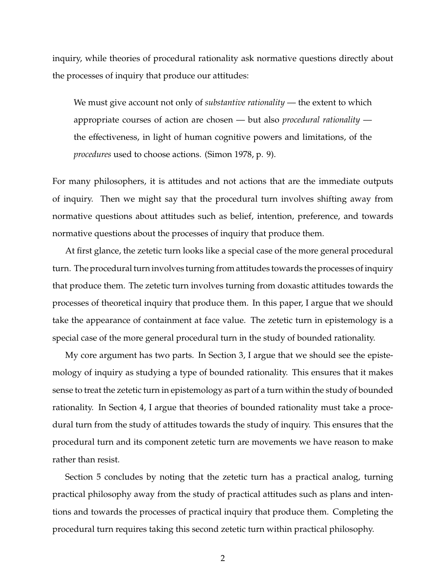inquiry, while theories of procedural rationality ask normative questions directly about the processes of inquiry that produce our attitudes:

We must give account not only of *substantive rationality* — the extent to which appropriate courses of action are chosen — but also *procedural rationality* the effectiveness, in light of human cognitive powers and limitations, of the *procedures* used to choose actions. (Simon 1978, p. 9).

For many philosophers, it is attitudes and not actions that are the immediate outputs of inquiry. Then we might say that the procedural turn involves shifting away from normative questions about attitudes such as belief, intention, preference, and towards normative questions about the processes of inquiry that produce them.

At first glance, the zetetic turn looks like a special case of the more general procedural turn. The procedural turn involves turning from attitudes towards the processes of inquiry that produce them. The zetetic turn involves turning from doxastic attitudes towards the processes of theoretical inquiry that produce them. In this paper, I argue that we should take the appearance of containment at face value. The zetetic turn in epistemology is a special case of the more general procedural turn in the study of bounded rationality.

My core argument has two parts. In Section 3, I argue that we should see the epistemology of inquiry as studying a type of bounded rationality. This ensures that it makes sense to treat the zetetic turn in epistemology as part of a turn within the study of bounded rationality. In Section 4, I argue that theories of bounded rationality must take a procedural turn from the study of attitudes towards the study of inquiry. This ensures that the procedural turn and its component zetetic turn are movements we have reason to make rather than resist.

Section 5 concludes by noting that the zetetic turn has a practical analog, turning practical philosophy away from the study of practical attitudes such as plans and intentions and towards the processes of practical inquiry that produce them. Completing the procedural turn requires taking this second zetetic turn within practical philosophy.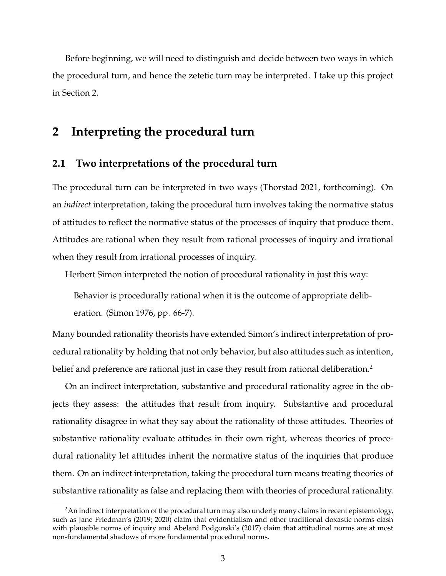Before beginning, we will need to distinguish and decide between two ways in which the procedural turn, and hence the zetetic turn may be interpreted. I take up this project in Section 2.

### **2 Interpreting the procedural turn**

#### **2.1 Two interpretations of the procedural turn**

The procedural turn can be interpreted in two ways (Thorstad 2021, forthcoming). On an *indirect* interpretation, taking the procedural turn involves taking the normative status of attitudes to reflect the normative status of the processes of inquiry that produce them. Attitudes are rational when they result from rational processes of inquiry and irrational when they result from irrational processes of inquiry.

Herbert Simon interpreted the notion of procedural rationality in just this way:

Behavior is procedurally rational when it is the outcome of appropriate deliberation. (Simon 1976, pp. 66-7).

Many bounded rationality theorists have extended Simon's indirect interpretation of procedural rationality by holding that not only behavior, but also attitudes such as intention, belief and preference are rational just in case they result from rational deliberation.<sup>2</sup>

On an indirect interpretation, substantive and procedural rationality agree in the objects they assess: the attitudes that result from inquiry. Substantive and procedural rationality disagree in what they say about the rationality of those attitudes. Theories of substantive rationality evaluate attitudes in their own right, whereas theories of procedural rationality let attitudes inherit the normative status of the inquiries that produce them. On an indirect interpretation, taking the procedural turn means treating theories of substantive rationality as false and replacing them with theories of procedural rationality.

<sup>&</sup>lt;sup>2</sup>An indirect interpretation of the procedural turn may also underly many claims in recent epistemology, such as Jane Friedman's (2019; 2020) claim that evidentialism and other traditional doxastic norms clash with plausible norms of inquiry and Abelard Podgorski's (2017) claim that attitudinal norms are at most non-fundamental shadows of more fundamental procedural norms.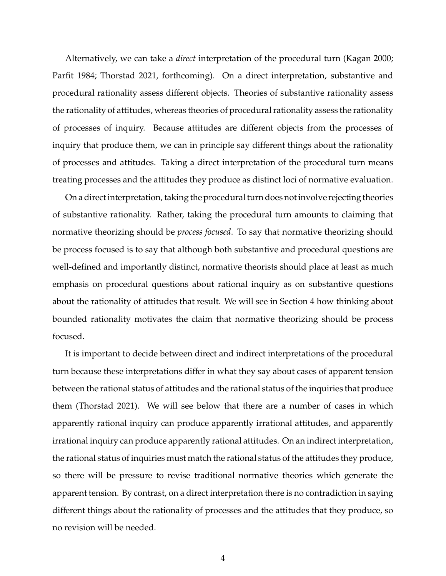Alternatively, we can take a *direct* interpretation of the procedural turn (Kagan 2000; Parfit 1984; Thorstad 2021, forthcoming). On a direct interpretation, substantive and procedural rationality assess different objects. Theories of substantive rationality assess the rationality of attitudes, whereas theories of procedural rationality assess the rationality of processes of inquiry. Because attitudes are different objects from the processes of inquiry that produce them, we can in principle say different things about the rationality of processes and attitudes. Taking a direct interpretation of the procedural turn means treating processes and the attitudes they produce as distinct loci of normative evaluation.

On a direct interpretation, taking the procedural turn does not involve rejecting theories of substantive rationality. Rather, taking the procedural turn amounts to claiming that normative theorizing should be *process focused*. To say that normative theorizing should be process focused is to say that although both substantive and procedural questions are well-defined and importantly distinct, normative theorists should place at least as much emphasis on procedural questions about rational inquiry as on substantive questions about the rationality of attitudes that result. We will see in Section 4 how thinking about bounded rationality motivates the claim that normative theorizing should be process focused.

It is important to decide between direct and indirect interpretations of the procedural turn because these interpretations differ in what they say about cases of apparent tension between the rational status of attitudes and the rational status of the inquiries that produce them (Thorstad 2021). We will see below that there are a number of cases in which apparently rational inquiry can produce apparently irrational attitudes, and apparently irrational inquiry can produce apparently rational attitudes. On an indirect interpretation, the rational status of inquiries must match the rational status of the attitudes they produce, so there will be pressure to revise traditional normative theories which generate the apparent tension. By contrast, on a direct interpretation there is no contradiction in saying different things about the rationality of processes and the attitudes that they produce, so no revision will be needed.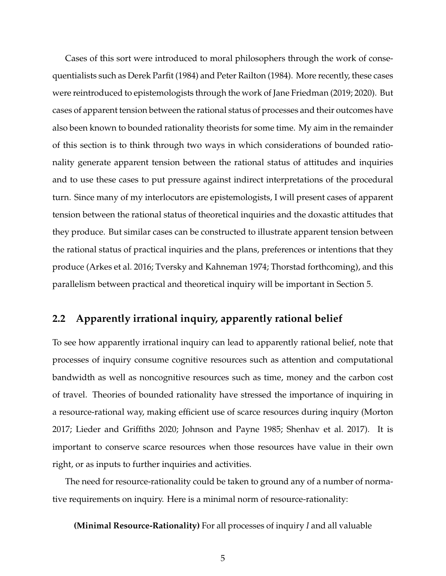Cases of this sort were introduced to moral philosophers through the work of consequentialists such as Derek Parfit (1984) and Peter Railton (1984). More recently, these cases were reintroduced to epistemologists through the work of Jane Friedman (2019; 2020). But cases of apparent tension between the rational status of processes and their outcomes have also been known to bounded rationality theorists for some time. My aim in the remainder of this section is to think through two ways in which considerations of bounded rationality generate apparent tension between the rational status of attitudes and inquiries and to use these cases to put pressure against indirect interpretations of the procedural turn. Since many of my interlocutors are epistemologists, I will present cases of apparent tension between the rational status of theoretical inquiries and the doxastic attitudes that they produce. But similar cases can be constructed to illustrate apparent tension between the rational status of practical inquiries and the plans, preferences or intentions that they produce (Arkes et al. 2016; Tversky and Kahneman 1974; Thorstad forthcoming), and this parallelism between practical and theoretical inquiry will be important in Section 5.

### **2.2 Apparently irrational inquiry, apparently rational belief**

To see how apparently irrational inquiry can lead to apparently rational belief, note that processes of inquiry consume cognitive resources such as attention and computational bandwidth as well as noncognitive resources such as time, money and the carbon cost of travel. Theories of bounded rationality have stressed the importance of inquiring in a resource-rational way, making efficient use of scarce resources during inquiry (Morton 2017; Lieder and Griffiths 2020; Johnson and Payne 1985; Shenhav et al. 2017). It is important to conserve scarce resources when those resources have value in their own right, or as inputs to further inquiries and activities.

The need for resource-rationality could be taken to ground any of a number of normative requirements on inquiry. Here is a minimal norm of resource-rationality:

**(Minimal Resource-Rationality)** For all processes of inquiry *I* and all valuable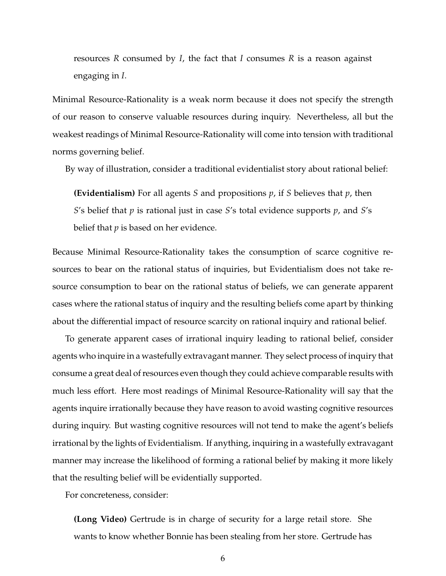resources *R* consumed by *I*, the fact that *I* consumes *R* is a reason against engaging in *I*.

Minimal Resource-Rationality is a weak norm because it does not specify the strength of our reason to conserve valuable resources during inquiry. Nevertheless, all but the weakest readings of Minimal Resource-Rationality will come into tension with traditional norms governing belief.

By way of illustration, consider a traditional evidentialist story about rational belief:

**(Evidentialism)** For all agents *S* and propositions *p*, if *S* believes that *p*, then *S*'s belief that *p* is rational just in case *S*'s total evidence supports *p*, and *S*'s belief that *p* is based on her evidence.

Because Minimal Resource-Rationality takes the consumption of scarce cognitive resources to bear on the rational status of inquiries, but Evidentialism does not take resource consumption to bear on the rational status of beliefs, we can generate apparent cases where the rational status of inquiry and the resulting beliefs come apart by thinking about the differential impact of resource scarcity on rational inquiry and rational belief.

To generate apparent cases of irrational inquiry leading to rational belief, consider agents who inquire in a wastefully extravagant manner. They select process of inquiry that consume a great deal of resources even though they could achieve comparable results with much less effort. Here most readings of Minimal Resource-Rationality will say that the agents inquire irrationally because they have reason to avoid wasting cognitive resources during inquiry. But wasting cognitive resources will not tend to make the agent's beliefs irrational by the lights of Evidentialism. If anything, inquiring in a wastefully extravagant manner may increase the likelihood of forming a rational belief by making it more likely that the resulting belief will be evidentially supported.

For concreteness, consider:

**(Long Video)** Gertrude is in charge of security for a large retail store. She wants to know whether Bonnie has been stealing from her store. Gertrude has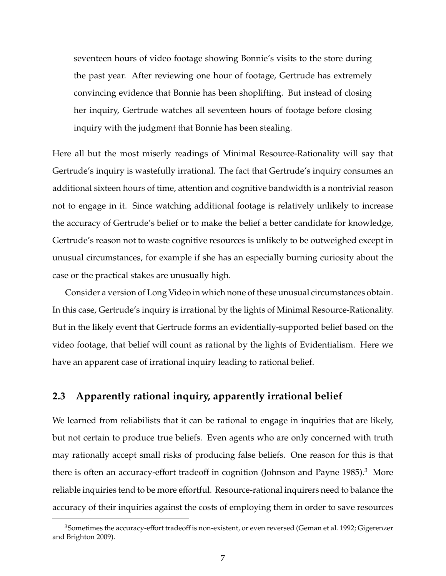seventeen hours of video footage showing Bonnie's visits to the store during the past year. After reviewing one hour of footage, Gertrude has extremely convincing evidence that Bonnie has been shoplifting. But instead of closing her inquiry, Gertrude watches all seventeen hours of footage before closing inquiry with the judgment that Bonnie has been stealing.

Here all but the most miserly readings of Minimal Resource-Rationality will say that Gertrude's inquiry is wastefully irrational. The fact that Gertrude's inquiry consumes an additional sixteen hours of time, attention and cognitive bandwidth is a nontrivial reason not to engage in it. Since watching additional footage is relatively unlikely to increase the accuracy of Gertrude's belief or to make the belief a better candidate for knowledge, Gertrude's reason not to waste cognitive resources is unlikely to be outweighed except in unusual circumstances, for example if she has an especially burning curiosity about the case or the practical stakes are unusually high.

Consider a version of Long Video in which none of these unusual circumstances obtain. In this case, Gertrude's inquiry is irrational by the lights of Minimal Resource-Rationality. But in the likely event that Gertrude forms an evidentially-supported belief based on the video footage, that belief will count as rational by the lights of Evidentialism. Here we have an apparent case of irrational inquiry leading to rational belief.

### **2.3 Apparently rational inquiry, apparently irrational belief**

We learned from reliabilists that it can be rational to engage in inquiries that are likely, but not certain to produce true beliefs. Even agents who are only concerned with truth may rationally accept small risks of producing false beliefs. One reason for this is that there is often an accuracy-effort tradeoff in cognition (Johnson and Payne 1985).<sup>3</sup> More reliable inquiries tend to be more effortful. Resource-rational inquirers need to balance the accuracy of their inquiries against the costs of employing them in order to save resources

<sup>&</sup>lt;sup>3</sup>Sometimes the accuracy-effort tradeoff is non-existent, or even reversed (Geman et al. 1992; Gigerenzer and Brighton 2009).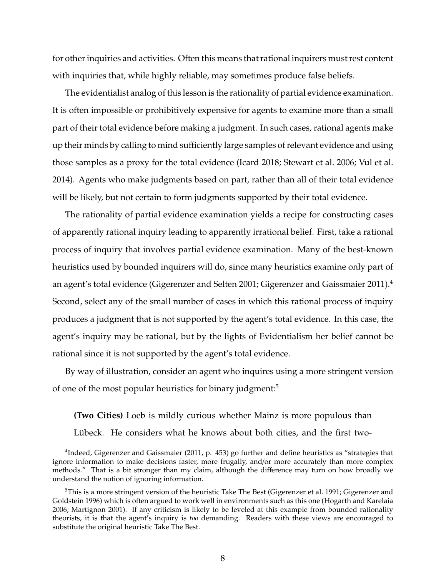for other inquiries and activities. Often this means that rational inquirers must rest content with inquiries that, while highly reliable, may sometimes produce false beliefs.

The evidentialist analog of this lesson is the rationality of partial evidence examination. It is often impossible or prohibitively expensive for agents to examine more than a small part of their total evidence before making a judgment. In such cases, rational agents make up their minds by calling to mind sufficiently large samples of relevant evidence and using those samples as a proxy for the total evidence (Icard 2018; Stewart et al. 2006; Vul et al. 2014). Agents who make judgments based on part, rather than all of their total evidence will be likely, but not certain to form judgments supported by their total evidence.

The rationality of partial evidence examination yields a recipe for constructing cases of apparently rational inquiry leading to apparently irrational belief. First, take a rational process of inquiry that involves partial evidence examination. Many of the best-known heuristics used by bounded inquirers will do, since many heuristics examine only part of an agent's total evidence (Gigerenzer and Selten 2001; Gigerenzer and Gaissmaier 2011).<sup>4</sup> Second, select any of the small number of cases in which this rational process of inquiry produces a judgment that is not supported by the agent's total evidence. In this case, the agent's inquiry may be rational, but by the lights of Evidentialism her belief cannot be rational since it is not supported by the agent's total evidence.

By way of illustration, consider an agent who inquires using a more stringent version of one of the most popular heuristics for binary judgment:<sup>5</sup>

**(Two Cities)** Loeb is mildly curious whether Mainz is more populous than Lübeck. He considers what he knows about both cities, and the first two-

<sup>&</sup>lt;sup>4</sup>Indeed, Gigerenzer and Gaissmaier (2011, p. 453) go further and define heuristics as "strategies that ignore information to make decisions faster, more frugally, and/or more accurately than more complex methods." That is a bit stronger than my claim, although the difference may turn on how broadly we understand the notion of ignoring information.

 $5$ This is a more stringent version of the heuristic Take The Best (Gigerenzer et al. 1991; Gigerenzer and Goldstein 1996) which is often argued to work well in environments such as this one (Hogarth and Karelaia 2006; Martignon 2001). If any criticism is likely to be leveled at this example from bounded rationality theorists, it is that the agent's inquiry is *too* demanding. Readers with these views are encouraged to substitute the original heuristic Take The Best.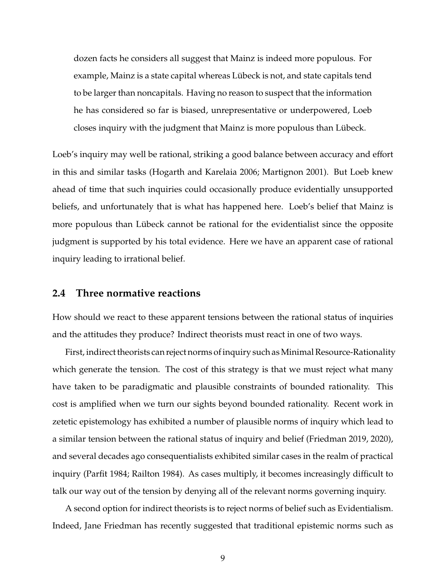dozen facts he considers all suggest that Mainz is indeed more populous. For example, Mainz is a state capital whereas Lübeck is not, and state capitals tend to be larger than noncapitals. Having no reason to suspect that the information he has considered so far is biased, unrepresentative or underpowered, Loeb closes inquiry with the judgment that Mainz is more populous than Lübeck.

Loeb's inquiry may well be rational, striking a good balance between accuracy and effort in this and similar tasks (Hogarth and Karelaia 2006; Martignon 2001). But Loeb knew ahead of time that such inquiries could occasionally produce evidentially unsupported beliefs, and unfortunately that is what has happened here. Loeb's belief that Mainz is more populous than Lübeck cannot be rational for the evidentialist since the opposite judgment is supported by his total evidence. Here we have an apparent case of rational inquiry leading to irrational belief.

#### **2.4 Three normative reactions**

How should we react to these apparent tensions between the rational status of inquiries and the attitudes they produce? Indirect theorists must react in one of two ways.

First, indirect theorists can reject norms of inquiry such asMinimal Resource-Rationality which generate the tension. The cost of this strategy is that we must reject what many have taken to be paradigmatic and plausible constraints of bounded rationality. This cost is amplified when we turn our sights beyond bounded rationality. Recent work in zetetic epistemology has exhibited a number of plausible norms of inquiry which lead to a similar tension between the rational status of inquiry and belief (Friedman 2019, 2020), and several decades ago consequentialists exhibited similar cases in the realm of practical inquiry (Parfit 1984; Railton 1984). As cases multiply, it becomes increasingly difficult to talk our way out of the tension by denying all of the relevant norms governing inquiry.

A second option for indirect theorists is to reject norms of belief such as Evidentialism. Indeed, Jane Friedman has recently suggested that traditional epistemic norms such as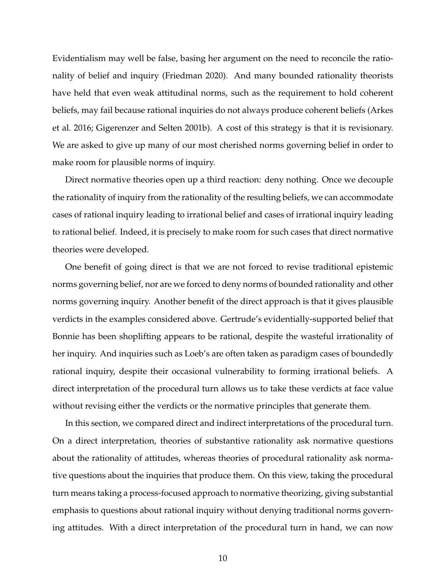Evidentialism may well be false, basing her argument on the need to reconcile the rationality of belief and inquiry (Friedman 2020). And many bounded rationality theorists have held that even weak attitudinal norms, such as the requirement to hold coherent beliefs, may fail because rational inquiries do not always produce coherent beliefs (Arkes et al. 2016; Gigerenzer and Selten 2001b). A cost of this strategy is that it is revisionary. We are asked to give up many of our most cherished norms governing belief in order to make room for plausible norms of inquiry.

Direct normative theories open up a third reaction: deny nothing. Once we decouple the rationality of inquiry from the rationality of the resulting beliefs, we can accommodate cases of rational inquiry leading to irrational belief and cases of irrational inquiry leading to rational belief. Indeed, it is precisely to make room for such cases that direct normative theories were developed.

One benefit of going direct is that we are not forced to revise traditional epistemic norms governing belief, nor are we forced to deny norms of bounded rationality and other norms governing inquiry. Another benefit of the direct approach is that it gives plausible verdicts in the examples considered above. Gertrude's evidentially-supported belief that Bonnie has been shoplifting appears to be rational, despite the wasteful irrationality of her inquiry. And inquiries such as Loeb's are often taken as paradigm cases of boundedly rational inquiry, despite their occasional vulnerability to forming irrational beliefs. A direct interpretation of the procedural turn allows us to take these verdicts at face value without revising either the verdicts or the normative principles that generate them.

In this section, we compared direct and indirect interpretations of the procedural turn. On a direct interpretation, theories of substantive rationality ask normative questions about the rationality of attitudes, whereas theories of procedural rationality ask normative questions about the inquiries that produce them. On this view, taking the procedural turn means taking a process-focused approach to normative theorizing, giving substantial emphasis to questions about rational inquiry without denying traditional norms governing attitudes. With a direct interpretation of the procedural turn in hand, we can now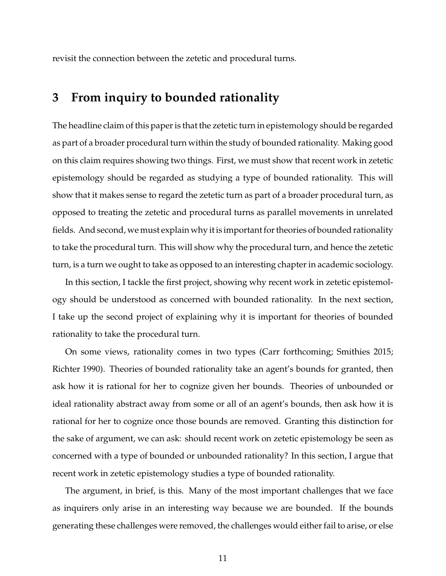revisit the connection between the zetetic and procedural turns.

## **3 From inquiry to bounded rationality**

The headline claim of this paper is that the zetetic turn in epistemology should be regarded as part of a broader procedural turn within the study of bounded rationality. Making good on this claim requires showing two things. First, we must show that recent work in zetetic epistemology should be regarded as studying a type of bounded rationality. This will show that it makes sense to regard the zetetic turn as part of a broader procedural turn, as opposed to treating the zetetic and procedural turns as parallel movements in unrelated fields. And second, we must explain why it is important for theories of bounded rationality to take the procedural turn. This will show why the procedural turn, and hence the zetetic turn, is a turn we ought to take as opposed to an interesting chapter in academic sociology.

In this section, I tackle the first project, showing why recent work in zetetic epistemology should be understood as concerned with bounded rationality. In the next section, I take up the second project of explaining why it is important for theories of bounded rationality to take the procedural turn.

On some views, rationality comes in two types (Carr forthcoming; Smithies 2015; Richter 1990). Theories of bounded rationality take an agent's bounds for granted, then ask how it is rational for her to cognize given her bounds. Theories of unbounded or ideal rationality abstract away from some or all of an agent's bounds, then ask how it is rational for her to cognize once those bounds are removed. Granting this distinction for the sake of argument, we can ask: should recent work on zetetic epistemology be seen as concerned with a type of bounded or unbounded rationality? In this section, I argue that recent work in zetetic epistemology studies a type of bounded rationality.

The argument, in brief, is this. Many of the most important challenges that we face as inquirers only arise in an interesting way because we are bounded. If the bounds generating these challenges were removed, the challenges would either fail to arise, or else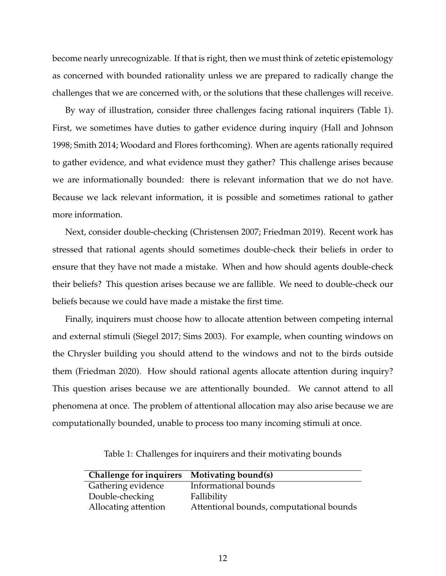become nearly unrecognizable. If that is right, then we must think of zetetic epistemology as concerned with bounded rationality unless we are prepared to radically change the challenges that we are concerned with, or the solutions that these challenges will receive.

By way of illustration, consider three challenges facing rational inquirers (Table 1). First, we sometimes have duties to gather evidence during inquiry (Hall and Johnson 1998; Smith 2014; Woodard and Flores forthcoming). When are agents rationally required to gather evidence, and what evidence must they gather? This challenge arises because we are informationally bounded: there is relevant information that we do not have. Because we lack relevant information, it is possible and sometimes rational to gather more information.

Next, consider double-checking (Christensen 2007; Friedman 2019). Recent work has stressed that rational agents should sometimes double-check their beliefs in order to ensure that they have not made a mistake. When and how should agents double-check their beliefs? This question arises because we are fallible. We need to double-check our beliefs because we could have made a mistake the first time.

Finally, inquirers must choose how to allocate attention between competing internal and external stimuli (Siegel 2017; Sims 2003). For example, when counting windows on the Chrysler building you should attend to the windows and not to the birds outside them (Friedman 2020). How should rational agents allocate attention during inquiry? This question arises because we are attentionally bounded. We cannot attend to all phenomena at once. The problem of attentional allocation may also arise because we are computationally bounded, unable to process too many incoming stimuli at once.

Table 1: Challenges for inquirers and their motivating bounds

| <b>Challenge for inquirers</b> | Motivating bound(s)                      |
|--------------------------------|------------------------------------------|
| Gathering evidence             | Informational bounds                     |
| Double-checking                | Fallibility                              |
| Allocating attention           | Attentional bounds, computational bounds |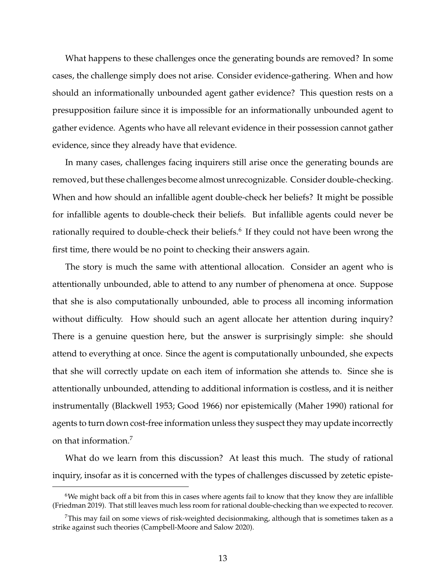What happens to these challenges once the generating bounds are removed? In some cases, the challenge simply does not arise. Consider evidence-gathering. When and how should an informationally unbounded agent gather evidence? This question rests on a presupposition failure since it is impossible for an informationally unbounded agent to gather evidence. Agents who have all relevant evidence in their possession cannot gather evidence, since they already have that evidence.

In many cases, challenges facing inquirers still arise once the generating bounds are removed, but these challenges become almost unrecognizable. Consider double-checking. When and how should an infallible agent double-check her beliefs? It might be possible for infallible agents to double-check their beliefs. But infallible agents could never be rationally required to double-check their beliefs. $^6$  If they could not have been wrong the first time, there would be no point to checking their answers again.

The story is much the same with attentional allocation. Consider an agent who is attentionally unbounded, able to attend to any number of phenomena at once. Suppose that she is also computationally unbounded, able to process all incoming information without difficulty. How should such an agent allocate her attention during inquiry? There is a genuine question here, but the answer is surprisingly simple: she should attend to everything at once. Since the agent is computationally unbounded, she expects that she will correctly update on each item of information she attends to. Since she is attentionally unbounded, attending to additional information is costless, and it is neither instrumentally (Blackwell 1953; Good 1966) nor epistemically (Maher 1990) rational for agents to turn down cost-free information unless they suspect they may update incorrectly on that information.<sup>7</sup>

What do we learn from this discussion? At least this much. The study of rational inquiry, insofar as it is concerned with the types of challenges discussed by zetetic episte-

 $6$ We might back off a bit from this in cases where agents fail to know that they know they are infallible (Friedman 2019). That still leaves much less room for rational double-checking than we expected to recover.

This may fail on some views of risk-weighted decisionmaking, although that is sometimes taken as a strike against such theories (Campbell-Moore and Salow 2020).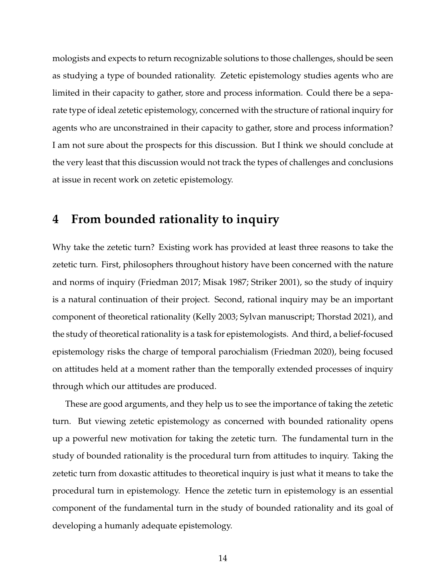mologists and expects to return recognizable solutions to those challenges, should be seen as studying a type of bounded rationality. Zetetic epistemology studies agents who are limited in their capacity to gather, store and process information. Could there be a separate type of ideal zetetic epistemology, concerned with the structure of rational inquiry for agents who are unconstrained in their capacity to gather, store and process information? I am not sure about the prospects for this discussion. But I think we should conclude at the very least that this discussion would not track the types of challenges and conclusions at issue in recent work on zetetic epistemology.

### **4 From bounded rationality to inquiry**

Why take the zetetic turn? Existing work has provided at least three reasons to take the zetetic turn. First, philosophers throughout history have been concerned with the nature and norms of inquiry (Friedman 2017; Misak 1987; Striker 2001), so the study of inquiry is a natural continuation of their project. Second, rational inquiry may be an important component of theoretical rationality (Kelly 2003; Sylvan manuscript; Thorstad 2021), and the study of theoretical rationality is a task for epistemologists. And third, a belief-focused epistemology risks the charge of temporal parochialism (Friedman 2020), being focused on attitudes held at a moment rather than the temporally extended processes of inquiry through which our attitudes are produced.

These are good arguments, and they help us to see the importance of taking the zetetic turn. But viewing zetetic epistemology as concerned with bounded rationality opens up a powerful new motivation for taking the zetetic turn. The fundamental turn in the study of bounded rationality is the procedural turn from attitudes to inquiry. Taking the zetetic turn from doxastic attitudes to theoretical inquiry is just what it means to take the procedural turn in epistemology. Hence the zetetic turn in epistemology is an essential component of the fundamental turn in the study of bounded rationality and its goal of developing a humanly adequate epistemology.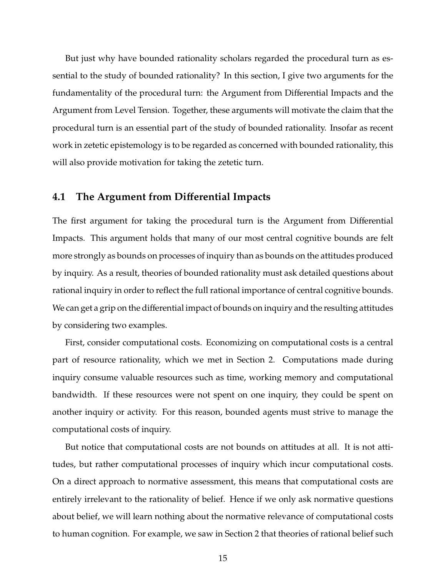But just why have bounded rationality scholars regarded the procedural turn as essential to the study of bounded rationality? In this section, I give two arguments for the fundamentality of the procedural turn: the Argument from Differential Impacts and the Argument from Level Tension. Together, these arguments will motivate the claim that the procedural turn is an essential part of the study of bounded rationality. Insofar as recent work in zetetic epistemology is to be regarded as concerned with bounded rationality, this will also provide motivation for taking the zetetic turn.

### **4.1 The Argument from Di**ff**erential Impacts**

The first argument for taking the procedural turn is the Argument from Differential Impacts. This argument holds that many of our most central cognitive bounds are felt more strongly as bounds on processes of inquiry than as bounds on the attitudes produced by inquiry. As a result, theories of bounded rationality must ask detailed questions about rational inquiry in order to reflect the full rational importance of central cognitive bounds. We can get a grip on the differential impact of bounds on inquiry and the resulting attitudes by considering two examples.

First, consider computational costs. Economizing on computational costs is a central part of resource rationality, which we met in Section 2. Computations made during inquiry consume valuable resources such as time, working memory and computational bandwidth. If these resources were not spent on one inquiry, they could be spent on another inquiry or activity. For this reason, bounded agents must strive to manage the computational costs of inquiry.

But notice that computational costs are not bounds on attitudes at all. It is not attitudes, but rather computational processes of inquiry which incur computational costs. On a direct approach to normative assessment, this means that computational costs are entirely irrelevant to the rationality of belief. Hence if we only ask normative questions about belief, we will learn nothing about the normative relevance of computational costs to human cognition. For example, we saw in Section 2 that theories of rational belief such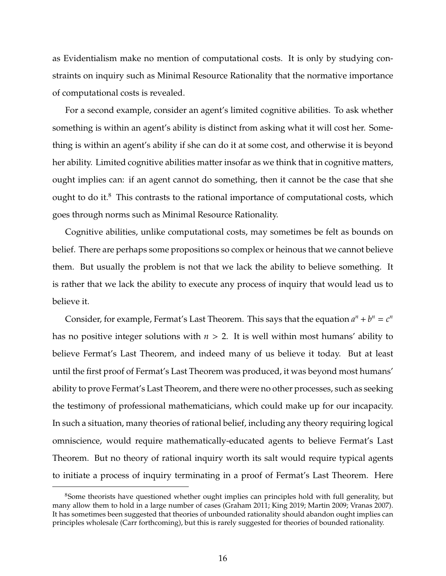as Evidentialism make no mention of computational costs. It is only by studying constraints on inquiry such as Minimal Resource Rationality that the normative importance of computational costs is revealed.

For a second example, consider an agent's limited cognitive abilities. To ask whether something is within an agent's ability is distinct from asking what it will cost her. Something is within an agent's ability if she can do it at some cost, and otherwise it is beyond her ability. Limited cognitive abilities matter insofar as we think that in cognitive matters, ought implies can: if an agent cannot do something, then it cannot be the case that she ought to do it. $<sup>8</sup>$  This contrasts to the rational importance of computational costs, which</sup> goes through norms such as Minimal Resource Rationality.

Cognitive abilities, unlike computational costs, may sometimes be felt as bounds on belief. There are perhaps some propositions so complex or heinous that we cannot believe them. But usually the problem is not that we lack the ability to believe something. It is rather that we lack the ability to execute any process of inquiry that would lead us to believe it.

Consider, for example, Fermat's Last Theorem. This says that the equation  $a^n + b^n = c^n$ has no positive integer solutions with  $n > 2$ . It is well within most humans' ability to believe Fermat's Last Theorem, and indeed many of us believe it today. But at least until the first proof of Fermat's Last Theorem was produced, it was beyond most humans' ability to prove Fermat's Last Theorem, and there were no other processes, such as seeking the testimony of professional mathematicians, which could make up for our incapacity. In such a situation, many theories of rational belief, including any theory requiring logical omniscience, would require mathematically-educated agents to believe Fermat's Last Theorem. But no theory of rational inquiry worth its salt would require typical agents to initiate a process of inquiry terminating in a proof of Fermat's Last Theorem. Here

<sup>&</sup>lt;sup>8</sup>Some theorists have questioned whether ought implies can principles hold with full generality, but many allow them to hold in a large number of cases (Graham 2011; King 2019; Martin 2009; Vranas 2007). It has sometimes been suggested that theories of unbounded rationality should abandon ought implies can principles wholesale (Carr forthcoming), but this is rarely suggested for theories of bounded rationality.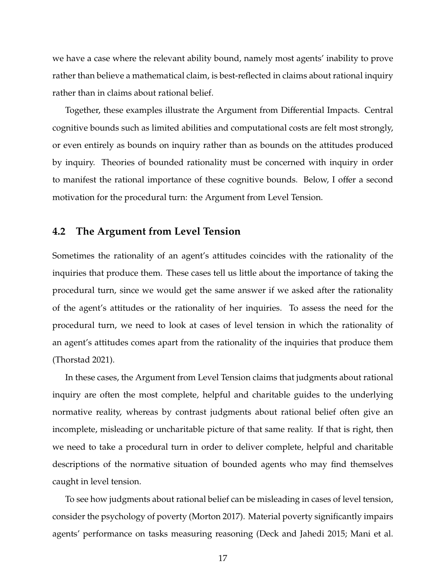we have a case where the relevant ability bound, namely most agents' inability to prove rather than believe a mathematical claim, is best-reflected in claims about rational inquiry rather than in claims about rational belief.

Together, these examples illustrate the Argument from Differential Impacts. Central cognitive bounds such as limited abilities and computational costs are felt most strongly, or even entirely as bounds on inquiry rather than as bounds on the attitudes produced by inquiry. Theories of bounded rationality must be concerned with inquiry in order to manifest the rational importance of these cognitive bounds. Below, I offer a second motivation for the procedural turn: the Argument from Level Tension.

### **4.2 The Argument from Level Tension**

Sometimes the rationality of an agent's attitudes coincides with the rationality of the inquiries that produce them. These cases tell us little about the importance of taking the procedural turn, since we would get the same answer if we asked after the rationality of the agent's attitudes or the rationality of her inquiries. To assess the need for the procedural turn, we need to look at cases of level tension in which the rationality of an agent's attitudes comes apart from the rationality of the inquiries that produce them (Thorstad 2021).

In these cases, the Argument from Level Tension claims that judgments about rational inquiry are often the most complete, helpful and charitable guides to the underlying normative reality, whereas by contrast judgments about rational belief often give an incomplete, misleading or uncharitable picture of that same reality. If that is right, then we need to take a procedural turn in order to deliver complete, helpful and charitable descriptions of the normative situation of bounded agents who may find themselves caught in level tension.

To see how judgments about rational belief can be misleading in cases of level tension, consider the psychology of poverty (Morton 2017). Material poverty significantly impairs agents' performance on tasks measuring reasoning (Deck and Jahedi 2015; Mani et al.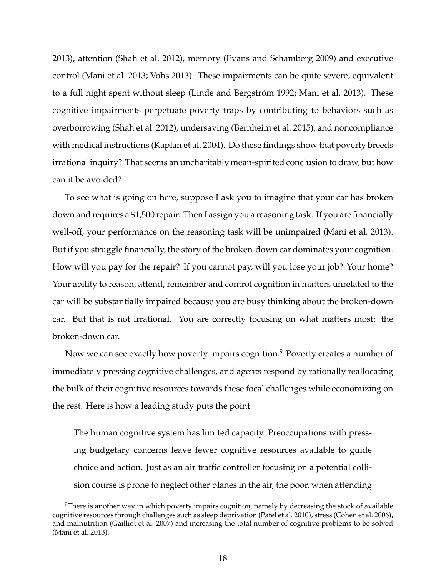2013), attention (Shah et al. 2012), memory (Evans and Schamberg 2009) and executive control (Mani et al. 2013; Vohs 2013). These impairments can be quite severe, equivalent to a full night spent without sleep (Linde and Bergström 1992; Mani et al. 2013). These cognitive impairments perpetuate poverty traps by contributing to behaviors such as overborrowing (Shah et al. 2012), undersaving (Bernheim et al. 2015), and noncompliance with medical instructions (Kaplan et al. 2004). Do these findings show that poverty breeds irrational inquiry? That seems an uncharitably mean-spirited conclusion to draw, but how can it be avoided?

To see what is going on here, suppose I ask you to imagine that your car has broken down and requires a \$1,500 repair. Then I assign you a reasoning task. If you are financially well-off, your performance on the reasoning task will be unimpaired (Mani et al. 2013). But if you struggle financially, the story of the broken-down car dominates your cognition. How will you pay for the repair? If you cannot pay, will you lose your job? Your home? Your ability to reason, attend, remember and control cognition in matters unrelated to the car will be substantially impaired because you are busy thinking about the broken-down car. But that is not irrational. You are correctly focusing on what matters most: the broken-down car.

Now we can see exactly how poverty impairs cognition.<sup>9</sup> Poverty creates a number of immediately pressing cognitive challenges, and agents respond by rationally reallocating the bulk of their cognitive resources towards these focal challenges while economizing on the rest. Here is how a leading study puts the point.

The human cognitive system has limited capacity. Preoccupations with pressing budgetary concerns leave fewer cognitive resources available to guide choice and action. Just as an air traffic controller focusing on a potential collision course is prone to neglect other planes in the air, the poor, when attending

<sup>&</sup>lt;sup>9</sup>There is another way in which poverty impairs cognition, namely by decreasing the stock of available cognitive resources through challenges such as sleep deprivation (Patel et al. 2010), stress (Cohen et al. 2006), and malnutrition (Gailliot et al. 2007) and increasing the total number of cognitive problems to be solved (Mani et al. 2013).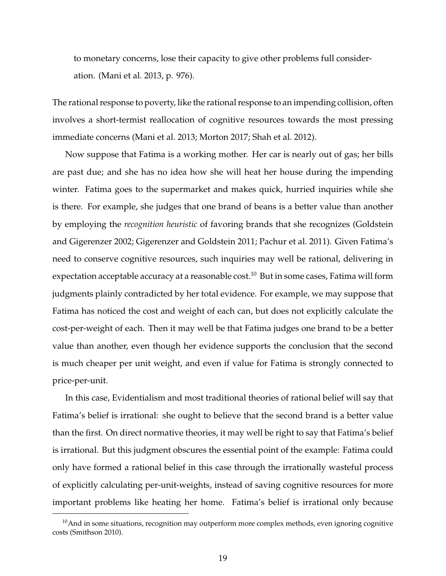to monetary concerns, lose their capacity to give other problems full consideration. (Mani et al. 2013, p. 976).

The rational response to poverty, like the rational response to an impending collision, often involves a short-termist reallocation of cognitive resources towards the most pressing immediate concerns (Mani et al. 2013; Morton 2017; Shah et al. 2012).

Now suppose that Fatima is a working mother. Her car is nearly out of gas; her bills are past due; and she has no idea how she will heat her house during the impending winter. Fatima goes to the supermarket and makes quick, hurried inquiries while she is there. For example, she judges that one brand of beans is a better value than another by employing the *recognition heuristic* of favoring brands that she recognizes (Goldstein and Gigerenzer 2002; Gigerenzer and Goldstein 2011; Pachur et al. 2011). Given Fatima's need to conserve cognitive resources, such inquiries may well be rational, delivering in expectation acceptable accuracy at a reasonable cost.<sup>10</sup> But in some cases, Fatima will form judgments plainly contradicted by her total evidence. For example, we may suppose that Fatima has noticed the cost and weight of each can, but does not explicitly calculate the cost-per-weight of each. Then it may well be that Fatima judges one brand to be a better value than another, even though her evidence supports the conclusion that the second is much cheaper per unit weight, and even if value for Fatima is strongly connected to price-per-unit.

In this case, Evidentialism and most traditional theories of rational belief will say that Fatima's belief is irrational: she ought to believe that the second brand is a better value than the first. On direct normative theories, it may well be right to say that Fatima's belief is irrational. But this judgment obscures the essential point of the example: Fatima could only have formed a rational belief in this case through the irrationally wasteful process of explicitly calculating per-unit-weights, instead of saving cognitive resources for more important problems like heating her home. Fatima's belief is irrational only because

 $10$ And in some situations, recognition may outperform more complex methods, even ignoring cognitive costs (Smithson 2010).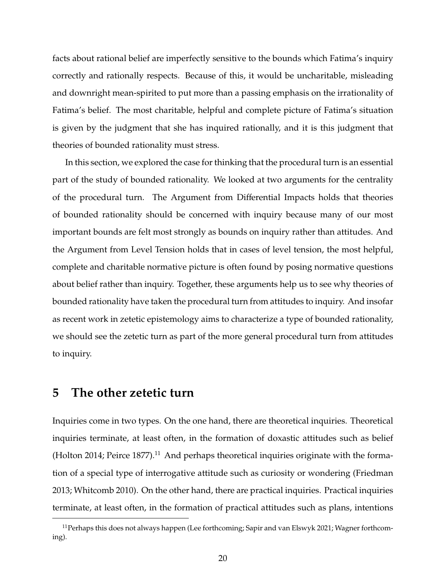facts about rational belief are imperfectly sensitive to the bounds which Fatima's inquiry correctly and rationally respects. Because of this, it would be uncharitable, misleading and downright mean-spirited to put more than a passing emphasis on the irrationality of Fatima's belief. The most charitable, helpful and complete picture of Fatima's situation is given by the judgment that she has inquired rationally, and it is this judgment that theories of bounded rationality must stress.

In this section, we explored the case for thinking that the procedural turn is an essential part of the study of bounded rationality. We looked at two arguments for the centrality of the procedural turn. The Argument from Differential Impacts holds that theories of bounded rationality should be concerned with inquiry because many of our most important bounds are felt most strongly as bounds on inquiry rather than attitudes. And the Argument from Level Tension holds that in cases of level tension, the most helpful, complete and charitable normative picture is often found by posing normative questions about belief rather than inquiry. Together, these arguments help us to see why theories of bounded rationality have taken the procedural turn from attitudes to inquiry. And insofar as recent work in zetetic epistemology aims to characterize a type of bounded rationality, we should see the zetetic turn as part of the more general procedural turn from attitudes to inquiry.

### **5 The other zetetic turn**

Inquiries come in two types. On the one hand, there are theoretical inquiries. Theoretical inquiries terminate, at least often, in the formation of doxastic attitudes such as belief (Holton 2014; Peirce 1877).<sup>11</sup> And perhaps theoretical inquiries originate with the formation of a special type of interrogative attitude such as curiosity or wondering (Friedman 2013; Whitcomb 2010). On the other hand, there are practical inquiries. Practical inquiries terminate, at least often, in the formation of practical attitudes such as plans, intentions

<sup>&</sup>lt;sup>11</sup> Perhaps this does not always happen (Lee forthcoming; Sapir and van Elswyk 2021; Wagner forthcoming).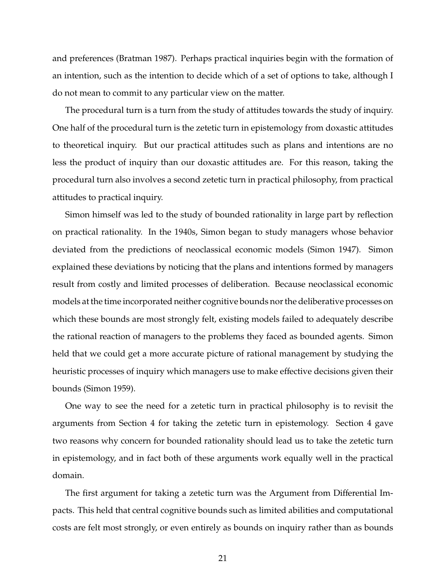and preferences (Bratman 1987). Perhaps practical inquiries begin with the formation of an intention, such as the intention to decide which of a set of options to take, although I do not mean to commit to any particular view on the matter.

The procedural turn is a turn from the study of attitudes towards the study of inquiry. One half of the procedural turn is the zetetic turn in epistemology from doxastic attitudes to theoretical inquiry. But our practical attitudes such as plans and intentions are no less the product of inquiry than our doxastic attitudes are. For this reason, taking the procedural turn also involves a second zetetic turn in practical philosophy, from practical attitudes to practical inquiry.

Simon himself was led to the study of bounded rationality in large part by reflection on practical rationality. In the 1940s, Simon began to study managers whose behavior deviated from the predictions of neoclassical economic models (Simon 1947). Simon explained these deviations by noticing that the plans and intentions formed by managers result from costly and limited processes of deliberation. Because neoclassical economic models at the time incorporated neither cognitive bounds nor the deliberative processes on which these bounds are most strongly felt, existing models failed to adequately describe the rational reaction of managers to the problems they faced as bounded agents. Simon held that we could get a more accurate picture of rational management by studying the heuristic processes of inquiry which managers use to make effective decisions given their bounds (Simon 1959).

One way to see the need for a zetetic turn in practical philosophy is to revisit the arguments from Section 4 for taking the zetetic turn in epistemology. Section 4 gave two reasons why concern for bounded rationality should lead us to take the zetetic turn in epistemology, and in fact both of these arguments work equally well in the practical domain.

The first argument for taking a zetetic turn was the Argument from Differential Impacts. This held that central cognitive bounds such as limited abilities and computational costs are felt most strongly, or even entirely as bounds on inquiry rather than as bounds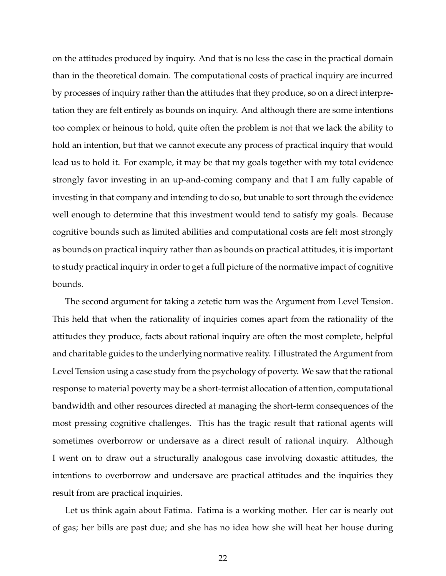on the attitudes produced by inquiry. And that is no less the case in the practical domain than in the theoretical domain. The computational costs of practical inquiry are incurred by processes of inquiry rather than the attitudes that they produce, so on a direct interpretation they are felt entirely as bounds on inquiry. And although there are some intentions too complex or heinous to hold, quite often the problem is not that we lack the ability to hold an intention, but that we cannot execute any process of practical inquiry that would lead us to hold it. For example, it may be that my goals together with my total evidence strongly favor investing in an up-and-coming company and that I am fully capable of investing in that company and intending to do so, but unable to sort through the evidence well enough to determine that this investment would tend to satisfy my goals. Because cognitive bounds such as limited abilities and computational costs are felt most strongly as bounds on practical inquiry rather than as bounds on practical attitudes, it is important to study practical inquiry in order to get a full picture of the normative impact of cognitive bounds.

The second argument for taking a zetetic turn was the Argument from Level Tension. This held that when the rationality of inquiries comes apart from the rationality of the attitudes they produce, facts about rational inquiry are often the most complete, helpful and charitable guides to the underlying normative reality. I illustrated the Argument from Level Tension using a case study from the psychology of poverty. We saw that the rational response to material poverty may be a short-termist allocation of attention, computational bandwidth and other resources directed at managing the short-term consequences of the most pressing cognitive challenges. This has the tragic result that rational agents will sometimes overborrow or undersave as a direct result of rational inquiry. Although I went on to draw out a structurally analogous case involving doxastic attitudes, the intentions to overborrow and undersave are practical attitudes and the inquiries they result from are practical inquiries.

Let us think again about Fatima. Fatima is a working mother. Her car is nearly out of gas; her bills are past due; and she has no idea how she will heat her house during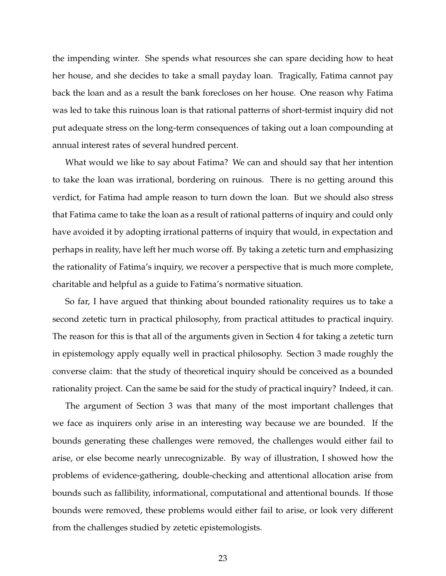the impending winter. She spends what resources she can spare deciding how to heat her house, and she decides to take a small payday loan. Tragically, Fatima cannot pay back the loan and as a result the bank forecloses on her house. One reason why Fatima was led to take this ruinous loan is that rational patterns of short-termist inquiry did not put adequate stress on the long-term consequences of taking out a loan compounding at annual interest rates of several hundred percent.

What would we like to say about Fatima? We can and should say that her intention to take the loan was irrational, bordering on ruinous. There is no getting around this verdict, for Fatima had ample reason to turn down the loan. But we should also stress that Fatima came to take the loan as a result of rational patterns of inquiry and could only have avoided it by adopting irrational patterns of inquiry that would, in expectation and perhaps in reality, have left her much worse off. By taking a zetetic turn and emphasizing the rationality of Fatima's inquiry, we recover a perspective that is much more complete, charitable and helpful as a guide to Fatima's normative situation.

So far, I have argued that thinking about bounded rationality requires us to take a second zetetic turn in practical philosophy, from practical attitudes to practical inquiry. The reason for this is that all of the arguments given in Section 4 for taking a zetetic turn in epistemology apply equally well in practical philosophy. Section 3 made roughly the converse claim: that the study of theoretical inquiry should be conceived as a bounded rationality project. Can the same be said for the study of practical inquiry? Indeed, it can.

The argument of Section 3 was that many of the most important challenges that we face as inquirers only arise in an interesting way because we are bounded. If the bounds generating these challenges were removed, the challenges would either fail to arise, or else become nearly unrecognizable. By way of illustration, I showed how the problems of evidence-gathering, double-checking and attentional allocation arise from bounds such as fallibility, informational, computational and attentional bounds. If those bounds were removed, these problems would either fail to arise, or look very different from the challenges studied by zetetic epistemologists.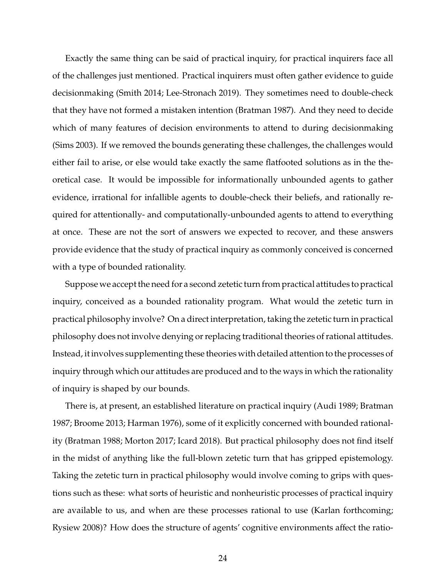Exactly the same thing can be said of practical inquiry, for practical inquirers face all of the challenges just mentioned. Practical inquirers must often gather evidence to guide decisionmaking (Smith 2014; Lee-Stronach 2019). They sometimes need to double-check that they have not formed a mistaken intention (Bratman 1987). And they need to decide which of many features of decision environments to attend to during decisionmaking (Sims 2003). If we removed the bounds generating these challenges, the challenges would either fail to arise, or else would take exactly the same flatfooted solutions as in the theoretical case. It would be impossible for informationally unbounded agents to gather evidence, irrational for infallible agents to double-check their beliefs, and rationally required for attentionally- and computationally-unbounded agents to attend to everything at once. These are not the sort of answers we expected to recover, and these answers provide evidence that the study of practical inquiry as commonly conceived is concerned with a type of bounded rationality.

Suppose we accept the need for a second zetetic turn from practical attitudes to practical inquiry, conceived as a bounded rationality program. What would the zetetic turn in practical philosophy involve? On a direct interpretation, taking the zetetic turn in practical philosophy does not involve denying or replacing traditional theories of rational attitudes. Instead, it involves supplementing these theories with detailed attention to the processes of inquiry through which our attitudes are produced and to the ways in which the rationality of inquiry is shaped by our bounds.

There is, at present, an established literature on practical inquiry (Audi 1989; Bratman 1987; Broome 2013; Harman 1976), some of it explicitly concerned with bounded rationality (Bratman 1988; Morton 2017; Icard 2018). But practical philosophy does not find itself in the midst of anything like the full-blown zetetic turn that has gripped epistemology. Taking the zetetic turn in practical philosophy would involve coming to grips with questions such as these: what sorts of heuristic and nonheuristic processes of practical inquiry are available to us, and when are these processes rational to use (Karlan forthcoming; Rysiew 2008)? How does the structure of agents' cognitive environments affect the ratio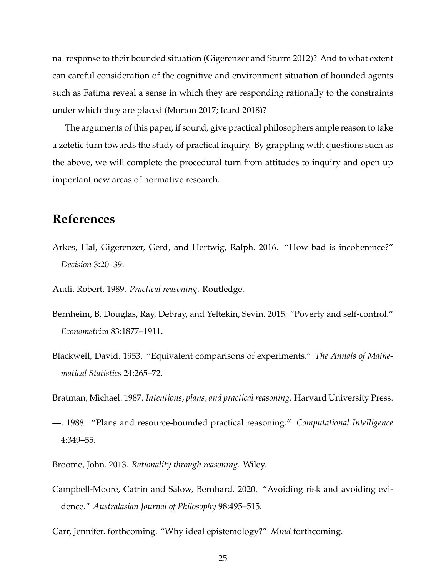nal response to their bounded situation (Gigerenzer and Sturm 2012)? And to what extent can careful consideration of the cognitive and environment situation of bounded agents such as Fatima reveal a sense in which they are responding rationally to the constraints under which they are placed (Morton 2017; Icard 2018)?

The arguments of this paper, if sound, give practical philosophers ample reason to take a zetetic turn towards the study of practical inquiry. By grappling with questions such as the above, we will complete the procedural turn from attitudes to inquiry and open up important new areas of normative research.

### **References**

Arkes, Hal, Gigerenzer, Gerd, and Hertwig, Ralph. 2016. "How bad is incoherence?" *Decision* 3:20–39.

Audi, Robert. 1989. *Practical reasoning*. Routledge.

- Bernheim, B. Douglas, Ray, Debray, and Yeltekin, Sevin. 2015. "Poverty and self-control." *Econometrica* 83:1877–1911.
- Blackwell, David. 1953. "Equivalent comparisons of experiments." *The Annals of Mathematical Statistics* 24:265–72.

Bratman, Michael. 1987. *Intentions, plans, and practical reasoning*. Harvard University Press.

- —. 1988. "Plans and resource-bounded practical reasoning." *Computational Intelligence* 4:349–55.
- Broome, John. 2013. *Rationality through reasoning*. Wiley.
- Campbell-Moore, Catrin and Salow, Bernhard. 2020. "Avoiding risk and avoiding evidence." *Australasian Journal of Philosophy* 98:495–515.
- Carr, Jennifer. forthcoming. "Why ideal epistemology?" *Mind* forthcoming.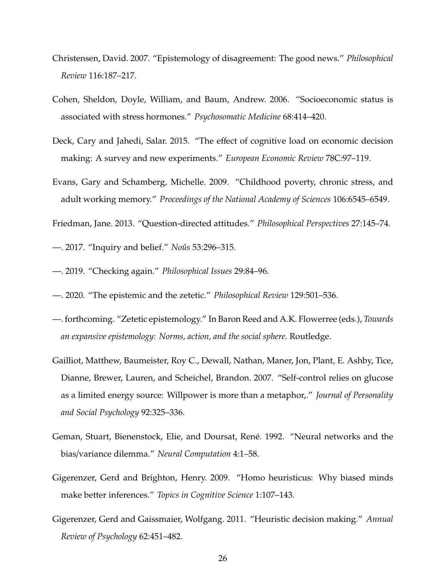- Christensen, David. 2007. "Epistemology of disagreement: The good news." *Philosophical Review* 116:187–217.
- Cohen, Sheldon, Doyle, William, and Baum, Andrew. 2006. "Socioeconomic status is associated with stress hormones." *Psychosomatic Medicine* 68:414–420.
- Deck, Cary and Jahedi, Salar. 2015. "The effect of cognitive load on economic decision making: A survey and new experiments." *European Economic Review* 78C:97–119.
- Evans, Gary and Schamberg, Michelle. 2009. "Childhood poverty, chronic stress, and adult working memory." *Proceedings of the National Academy of Sciences* 106:6545–6549.
- Friedman, Jane. 2013. "Question-directed attitudes." *Philosophical Perspectives* 27:145–74.
- 2017. "Inquiry and belief." *Noûs* 53:296–315.
- —. 2019. "Checking again." *Philosophical Issues* 29:84–96.
- —. 2020. "The epistemic and the zetetic." *Philosophical Review* 129:501–536.
- —. forthcoming. "Zetetic epistemology." In Baron Reed and A.K. Flowerree (eds.), *Towards an expansive epistemology: Norms, action, and the social sphere*. Routledge.
- Gailliot, Matthew, Baumeister, Roy C., Dewall, Nathan, Maner, Jon, Plant, E. Ashby, Tice, Dianne, Brewer, Lauren, and Scheichel, Brandon. 2007. "Self-control relies on glucose as a limited energy source: Willpower is more than a metaphor,." *Journal of Personality and Social Psychology* 92:325–336.
- Geman, Stuart, Bienenstock, Elie, and Doursat, René. 1992. "Neural networks and the bias/variance dilemma." *Neural Computation* 4:1–58.
- Gigerenzer, Gerd and Brighton, Henry. 2009. "Homo heuristicus: Why biased minds make better inferences." *Topics in Cognitive Science* 1:107–143.
- Gigerenzer, Gerd and Gaissmaier, Wolfgang. 2011. "Heuristic decision making." *Annual Review of Psychology* 62:451–482.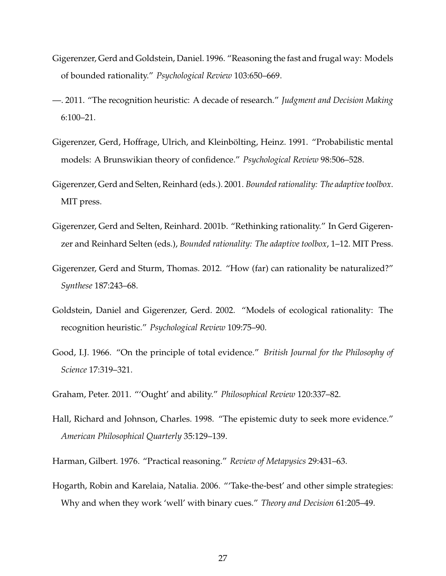- Gigerenzer, Gerd and Goldstein, Daniel. 1996. "Reasoning the fast and frugal way: Models of bounded rationality." *Psychological Review* 103:650–669.
- —. 2011. "The recognition heuristic: A decade of research." *Judgment and Decision Making* 6:100–21.
- Gigerenzer, Gerd, Hoffrage, Ulrich, and Kleinbölting, Heinz. 1991. "Probabilistic mental models: A Brunswikian theory of confidence." *Psychological Review* 98:506–528.
- Gigerenzer, Gerd and Selten, Reinhard (eds.). 2001. *Bounded rationality: The adaptive toolbox*. MIT press.
- Gigerenzer, Gerd and Selten, Reinhard. 2001b. "Rethinking rationality." In Gerd Gigerenzer and Reinhard Selten (eds.), *Bounded rationality: The adaptive toolbox*, 1–12. MIT Press.
- Gigerenzer, Gerd and Sturm, Thomas. 2012. "How (far) can rationality be naturalized?" *Synthese* 187:243–68.
- Goldstein, Daniel and Gigerenzer, Gerd. 2002. "Models of ecological rationality: The recognition heuristic." *Psychological Review* 109:75–90.
- Good, I.J. 1966. "On the principle of total evidence." *British Journal for the Philosophy of Science* 17:319–321.
- Graham, Peter. 2011. "'Ought' and ability." *Philosophical Review* 120:337–82.
- Hall, Richard and Johnson, Charles. 1998. "The epistemic duty to seek more evidence." *American Philosophical Quarterly* 35:129–139.
- Harman, Gilbert. 1976. "Practical reasoning." *Review of Metapysics* 29:431–63.
- Hogarth, Robin and Karelaia, Natalia. 2006. "'Take-the-best' and other simple strategies: Why and when they work 'well' with binary cues." *Theory and Decision* 61:205–49.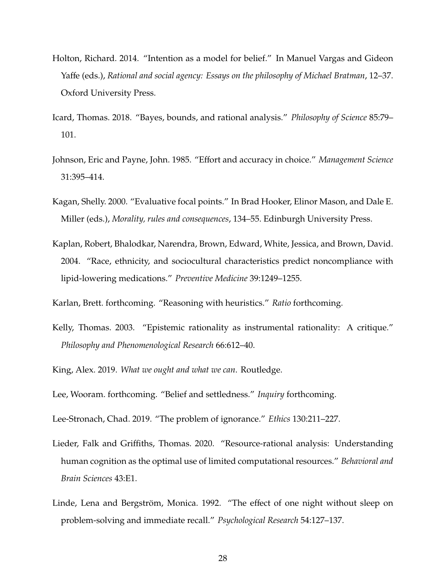- Holton, Richard. 2014. "Intention as a model for belief." In Manuel Vargas and Gideon Yaffe (eds.), *Rational and social agency: Essays on the philosophy of Michael Bratman*, 12–37. Oxford University Press.
- Icard, Thomas. 2018. "Bayes, bounds, and rational analysis." *Philosophy of Science* 85:79– 101.
- Johnson, Eric and Payne, John. 1985. "Effort and accuracy in choice." *Management Science* 31:395–414.
- Kagan, Shelly. 2000. "Evaluative focal points." In Brad Hooker, Elinor Mason, and Dale E. Miller (eds.), *Morality, rules and consequences*, 134–55. Edinburgh University Press.
- Kaplan, Robert, Bhalodkar, Narendra, Brown, Edward, White, Jessica, and Brown, David. 2004. "Race, ethnicity, and sociocultural characteristics predict noncompliance with lipid-lowering medications." *Preventive Medicine* 39:1249–1255.
- Karlan, Brett. forthcoming. "Reasoning with heuristics." *Ratio* forthcoming.
- Kelly, Thomas. 2003. "Epistemic rationality as instrumental rationality: A critique." *Philosophy and Phenomenological Research* 66:612–40.
- King, Alex. 2019. *What we ought and what we can*. Routledge.
- Lee, Wooram. forthcoming. "Belief and settledness." *Inquiry* forthcoming.
- Lee-Stronach, Chad. 2019. "The problem of ignorance." *Ethics* 130:211–227.
- Lieder, Falk and Griffiths, Thomas. 2020. "Resource-rational analysis: Understanding human cognition as the optimal use of limited computational resources." *Behavioral and Brain Sciences* 43:E1.
- Linde, Lena and Bergström, Monica. 1992. "The effect of one night without sleep on problem-solving and immediate recall." *Psychological Research* 54:127–137.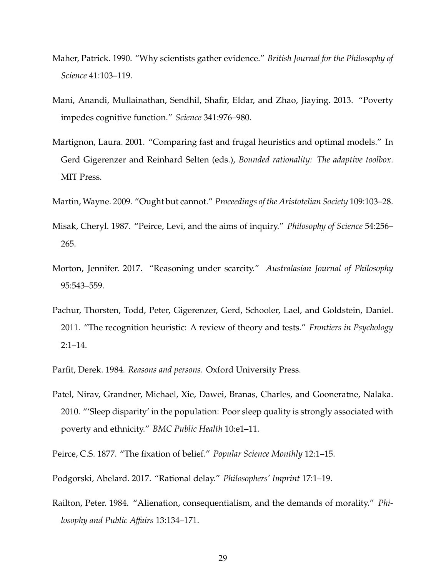- Maher, Patrick. 1990. "Why scientists gather evidence." *British Journal for the Philosophy of Science* 41:103–119.
- Mani, Anandi, Mullainathan, Sendhil, Shafir, Eldar, and Zhao, Jiaying. 2013. "Poverty impedes cognitive function." *Science* 341:976–980.
- Martignon, Laura. 2001. "Comparing fast and frugal heuristics and optimal models." In Gerd Gigerenzer and Reinhard Selten (eds.), *Bounded rationality: The adaptive toolbox*. MIT Press.
- Martin, Wayne. 2009. "Ought but cannot." *Proceedings of the Aristotelian Society* 109:103–28.
- Misak, Cheryl. 1987. "Peirce, Levi, and the aims of inquiry." *Philosophy of Science* 54:256– 265.
- Morton, Jennifer. 2017. "Reasoning under scarcity." *Australasian Journal of Philosophy* 95:543–559.
- Pachur, Thorsten, Todd, Peter, Gigerenzer, Gerd, Schooler, Lael, and Goldstein, Daniel. 2011. "The recognition heuristic: A review of theory and tests." *Frontiers in Psychology* 2:1–14.
- Parfit, Derek. 1984. *Reasons and persons*. Oxford University Press.
- Patel, Nirav, Grandner, Michael, Xie, Dawei, Branas, Charles, and Gooneratne, Nalaka. 2010. "'Sleep disparity' in the population: Poor sleep quality is strongly associated with poverty and ethnicity." *BMC Public Health* 10:e1–11.
- Peirce, C.S. 1877. "The fixation of belief." *Popular Science Monthly* 12:1–15.
- Podgorski, Abelard. 2017. "Rational delay." *Philosophers' Imprint* 17:1–19.
- Railton, Peter. 1984. "Alienation, consequentialism, and the demands of morality." *Philosophy and Public A*ff*airs* 13:134–171.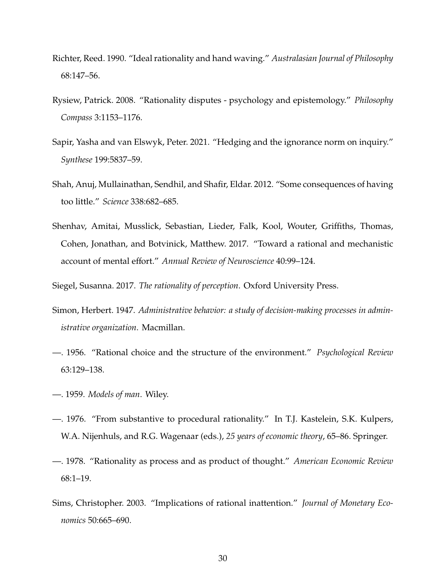- Richter, Reed. 1990. "Ideal rationality and hand waving." *Australasian Journal of Philosophy* 68:147–56.
- Rysiew, Patrick. 2008. "Rationality disputes psychology and epistemology." *Philosophy Compass* 3:1153–1176.
- Sapir, Yasha and van Elswyk, Peter. 2021. "Hedging and the ignorance norm on inquiry." *Synthese* 199:5837–59.
- Shah, Anuj, Mullainathan, Sendhil, and Shafir, Eldar. 2012. "Some consequences of having too little." *Science* 338:682–685.
- Shenhav, Amitai, Musslick, Sebastian, Lieder, Falk, Kool, Wouter, Griffiths, Thomas, Cohen, Jonathan, and Botvinick, Matthew. 2017. "Toward a rational and mechanistic account of mental effort." *Annual Review of Neuroscience* 40:99–124.

Siegel, Susanna. 2017. *The rationality of perception*. Oxford University Press.

- Simon, Herbert. 1947. *Administrative behavior: a study of decision-making processes in administrative organization*. Macmillan.
- —. 1956. "Rational choice and the structure of the environment." *Psychological Review* 63:129–138.
- —. 1959. *Models of man*. Wiley.
- —. 1976. "From substantive to procedural rationality." In T.J. Kastelein, S.K. Kulpers, W.A. Nijenhuls, and R.G. Wagenaar (eds.), *25 years of economic theory*, 65–86. Springer.
- —. 1978. "Rationality as process and as product of thought." *American Economic Review* 68:1–19.
- Sims, Christopher. 2003. "Implications of rational inattention." *Journal of Monetary Economics* 50:665–690.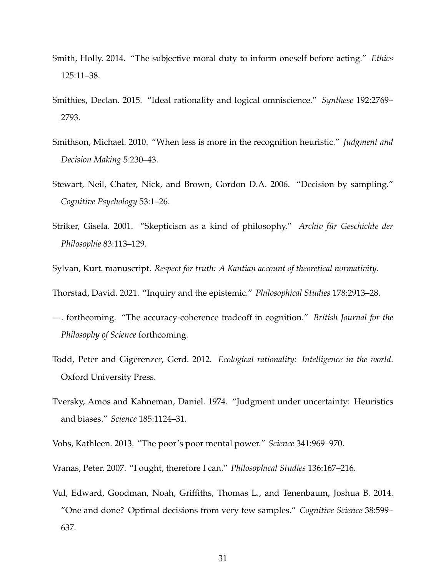- Smith, Holly. 2014. "The subjective moral duty to inform oneself before acting." *Ethics* 125:11–38.
- Smithies, Declan. 2015. "Ideal rationality and logical omniscience." *Synthese* 192:2769– 2793.
- Smithson, Michael. 2010. "When less is more in the recognition heuristic." *Judgment and Decision Making* 5:230–43.
- Stewart, Neil, Chater, Nick, and Brown, Gordon D.A. 2006. "Decision by sampling." *Cognitive Psychology* 53:1–26.
- Striker, Gisela. 2001. "Skepticism as a kind of philosophy." *Archiv für Geschichte der Philosophie* 83:113–129.

Sylvan, Kurt. manuscript. *Respect for truth: A Kantian account of theoretical normativity*.

Thorstad, David. 2021. "Inquiry and the epistemic." *Philosophical Studies* 178:2913–28.

- —. forthcoming. "The accuracy-coherence tradeoff in cognition." *British Journal for the Philosophy of Science* forthcoming.
- Todd, Peter and Gigerenzer, Gerd. 2012. *Ecological rationality: Intelligence in the world*. Oxford University Press.
- Tversky, Amos and Kahneman, Daniel. 1974. "Judgment under uncertainty: Heuristics and biases." *Science* 185:1124–31.

Vohs, Kathleen. 2013. "The poor's poor mental power." *Science* 341:969–970.

Vranas, Peter. 2007. "I ought, therefore I can." *Philosophical Studies* 136:167–216.

Vul, Edward, Goodman, Noah, Griffiths, Thomas L., and Tenenbaum, Joshua B. 2014. "One and done? Optimal decisions from very few samples." *Cognitive Science* 38:599– 637.